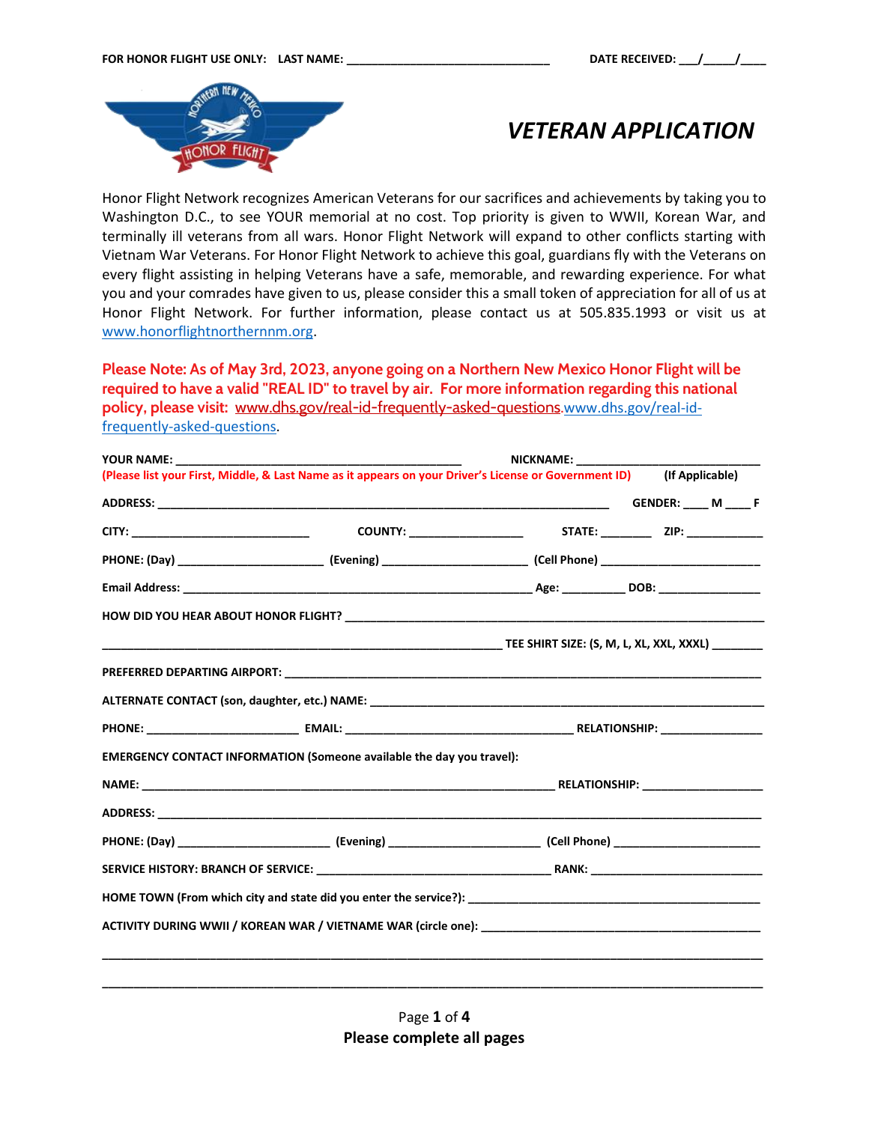

# *VETERAN APPLICATION*

Honor Flight Network recognizes American Veterans for our sacrifices and achievements by taking you to Washington D.C., to see YOUR memorial at no cost. Top priority is given to WWII, Korean War, and terminally ill veterans from all wars. Honor Flight Network will expand to other conflicts starting with Vietnam War Veterans. For Honor Flight Network to achieve this goal, guardians fly with the Veterans on every flight assisting in helping Veterans have a safe, memorable, and rewarding experience. For what you and your comrades have given to us, please consider this a small token of appreciation for all of us at Honor Flight Network. For further information, please contact us at 505.835.1993 or visit us at [www.honorflightnorthernnm.org.](http://www.honorflightnorthernnm.org/)

**Please Note: As of May 3rd, 2023, anyone going on a Northern New Mexico Honor Flight will be required to have a valid "REAL ID" to travel by air. For more information regarding this national policy, please visit:** [www.dhs.gov/real-id-frequently-asked-questions.](http://www.dhs.gov/real-id-frequently-asked-questions)[www.dhs.gov/real-id](http://www.dhs.gov/real-id-frequently-asked-questions)[frequently-asked-questions.](http://www.dhs.gov/real-id-frequently-asked-questions)

| NICKNAME: ___________                                                                                                 |  |  |  |  |  |
|-----------------------------------------------------------------------------------------------------------------------|--|--|--|--|--|
| (Please list your First, Middle, & Last Name as it appears on your Driver's License or Government ID) (If Applicable) |  |  |  |  |  |
|                                                                                                                       |  |  |  |  |  |
|                                                                                                                       |  |  |  |  |  |
|                                                                                                                       |  |  |  |  |  |
|                                                                                                                       |  |  |  |  |  |
|                                                                                                                       |  |  |  |  |  |
|                                                                                                                       |  |  |  |  |  |
|                                                                                                                       |  |  |  |  |  |
|                                                                                                                       |  |  |  |  |  |
|                                                                                                                       |  |  |  |  |  |
| EMERGENCY CONTACT INFORMATION (Someone available the day you travel):                                                 |  |  |  |  |  |
|                                                                                                                       |  |  |  |  |  |
|                                                                                                                       |  |  |  |  |  |
|                                                                                                                       |  |  |  |  |  |
|                                                                                                                       |  |  |  |  |  |
|                                                                                                                       |  |  |  |  |  |
|                                                                                                                       |  |  |  |  |  |
|                                                                                                                       |  |  |  |  |  |
|                                                                                                                       |  |  |  |  |  |

Page **1** of **4 Please complete all pages**

**\_\_\_\_\_\_\_\_\_\_\_\_\_\_\_\_\_\_\_\_\_\_\_\_\_\_\_\_\_\_\_\_\_\_\_\_\_\_\_\_\_\_\_\_\_\_\_\_\_\_\_\_\_\_\_\_\_\_\_\_\_\_\_\_\_\_\_\_\_\_\_\_\_\_\_\_\_\_\_\_\_\_\_\_\_\_\_\_\_\_\_\_\_\_\_\_\_\_\_\_\_\_\_\_**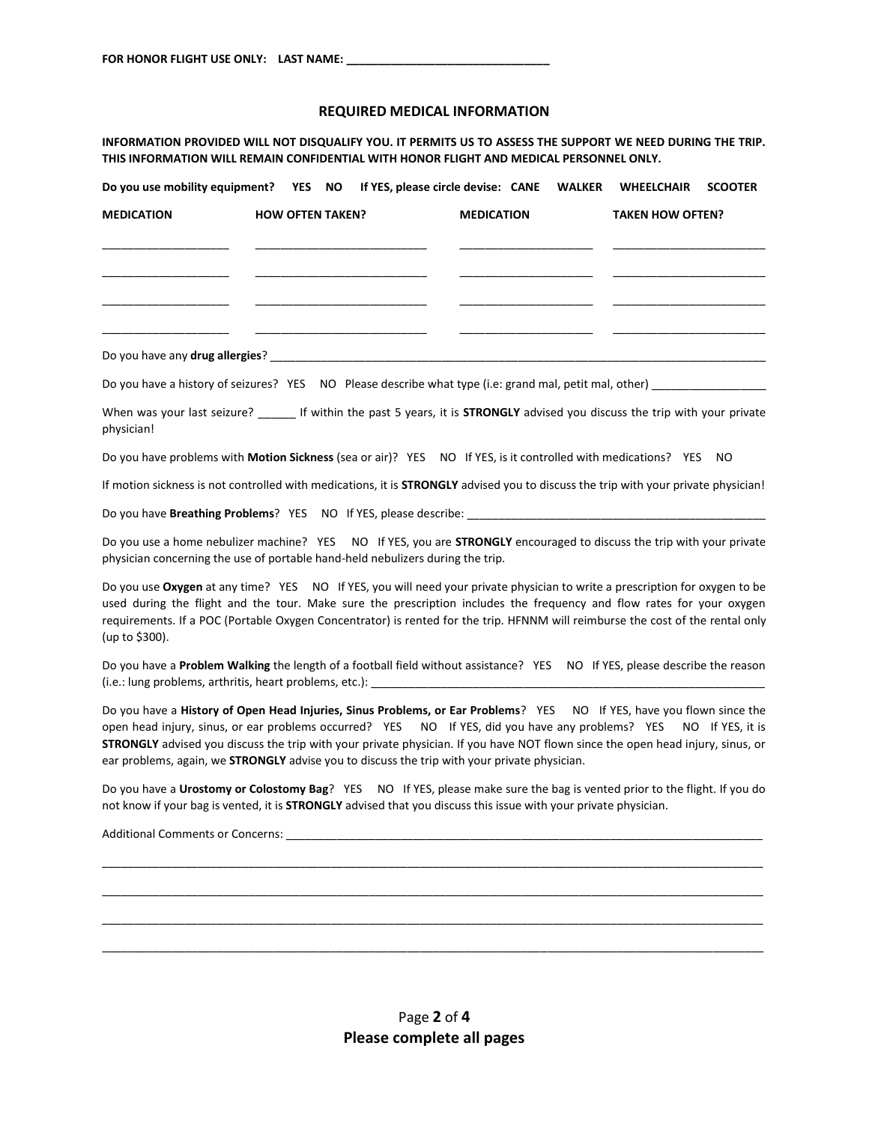### **REQUIRED MEDICAL INFORMATION**

**INFORMATION PROVIDED WILL NOT DISQUALIFY YOU. IT PERMITS US TO ASSESS THE SUPPORT WE NEED DURING THE TRIP. THIS INFORMATION WILL REMAIN CONFIDENTIAL WITH HONOR FLIGHT AND MEDICAL PERSONNEL ONLY.** 

| Do you use mobility equipment? YES NO If YES, please circle devise: CANE WALKER                                                                                                                                                                      |                         |                   | <b>WHEELCHAIR</b>       | <b>SCOOTER</b> |
|------------------------------------------------------------------------------------------------------------------------------------------------------------------------------------------------------------------------------------------------------|-------------------------|-------------------|-------------------------|----------------|
| <b>MEDICATION</b>                                                                                                                                                                                                                                    | <b>HOW OFTEN TAKEN?</b> | <b>MEDICATION</b> | <b>TAKEN HOW OFTEN?</b> |                |
|                                                                                                                                                                                                                                                      |                         |                   |                         |                |
|                                                                                                                                                                                                                                                      |                         |                   |                         |                |
|                                                                                                                                                                                                                                                      |                         |                   |                         |                |
| Do you have a history of seizures? YES NO Please describe what type (i.e: grand mal, petit mal, other)                                                                                                                                               |                         |                   |                         |                |
| When was your last seizure? _______ If within the past 5 years, it is STRONGLY advised you discuss the trip with your private<br>physician!                                                                                                          |                         |                   |                         |                |
| Do you have problems with <b>Motion Sickness</b> (sea or air)? YES NO If YES, is it controlled with medications? YES NO                                                                                                                              |                         |                   |                         |                |
| If motion sickness is not controlled with medications, it is STRONGLY advised you to discuss the trip with your private physician!                                                                                                                   |                         |                   |                         |                |
|                                                                                                                                                                                                                                                      |                         |                   |                         |                |
| Do you use a home nebulizer machine? YES NO If YES, you are <b>STRONGLY</b> encouraged to discuss the trip with your private<br>physician concerning the use of portable hand-held nebulizers during the trip.                                       |                         |                   |                         |                |
| Do you use Oxygen at any time? YES NO If YES, you will need your private physician to write a prescription for oxygen to be<br>used during the flight and the teur. Make sure the preserintion includes the frequency and flow rates for your owners |                         |                   |                         |                |

used during the flight and the tour. Make sure the prescription includes the frequency and flow rates for your oxygen requirements. If a POC (Portable Oxygen Concentrator) is rented for the trip. HFNNM will reimburse the cost of the rental only (up to \$300).

Do you have a **Problem Walking** the length of a football field without assistance? YES NO If YES, please describe the reason (i.e.: lung problems, arthritis, heart problems, etc.): \_\_\_\_\_\_\_\_\_\_\_\_\_\_\_\_\_\_\_\_\_\_\_\_

Do you have a **History of Open Head Injuries, Sinus Problems, or Ear Problems**? YES NO If YES, have you flown since the open head injury, sinus, or ear problems occurred? YES NO If YES, did you have any problems? YES NO If YES, it is **STRONGLY** advised you discuss the trip with your private physician. If you have NOT flown since the open head injury, sinus, or ear problems, again, we **STRONGLY** advise you to discuss the trip with your private physician.

Do you have a **Urostomy or Colostomy Bag**? YES NO If YES, please make sure the bag is vented prior to the flight. If you do not know if your bag is vented, it is **STRONGLY** advised that you discuss this issue with your private physician.

\_\_\_\_\_\_\_\_\_\_\_\_\_\_\_\_\_\_\_\_\_\_\_\_\_\_\_\_\_\_\_\_\_\_\_\_\_\_\_\_\_\_\_\_\_\_\_\_\_\_\_\_\_\_\_\_\_\_\_\_\_\_\_\_\_\_\_\_\_\_\_\_\_\_\_\_\_\_\_\_\_\_\_\_\_\_\_\_\_\_\_\_\_\_\_\_\_\_\_\_\_\_\_\_ \_\_\_\_\_\_\_\_\_\_\_\_\_\_\_\_\_\_\_\_\_\_\_\_\_\_\_\_\_\_\_\_\_\_\_\_\_\_\_\_\_\_\_\_\_\_\_\_\_\_\_\_\_\_\_\_\_\_\_\_\_\_\_\_\_\_\_\_\_\_\_\_\_\_\_\_\_\_\_\_\_\_\_\_\_\_\_\_\_\_\_\_\_\_\_\_\_\_\_\_\_\_\_\_ \_\_\_\_\_\_\_\_\_\_\_\_\_\_\_\_\_\_\_\_\_\_\_\_\_\_\_\_\_\_\_\_\_\_\_\_\_\_\_\_\_\_\_\_\_\_\_\_\_\_\_\_\_\_\_\_\_\_\_\_\_\_\_\_\_\_\_\_\_\_\_\_\_\_\_\_\_\_\_\_\_\_\_\_\_\_\_\_\_\_\_\_\_\_\_\_\_\_\_\_\_\_\_\_ \_\_\_\_\_\_\_\_\_\_\_\_\_\_\_\_\_\_\_\_\_\_\_\_\_\_\_\_\_\_\_\_\_\_\_\_\_\_\_\_\_\_\_\_\_\_\_\_\_\_\_\_\_\_\_\_\_\_\_\_\_\_\_\_\_\_\_\_\_\_\_\_\_\_\_\_\_\_\_\_\_\_\_\_\_\_\_\_\_\_\_\_\_\_\_\_\_\_\_\_\_\_\_\_

Additional Comments or Concerns: \_\_\_\_\_\_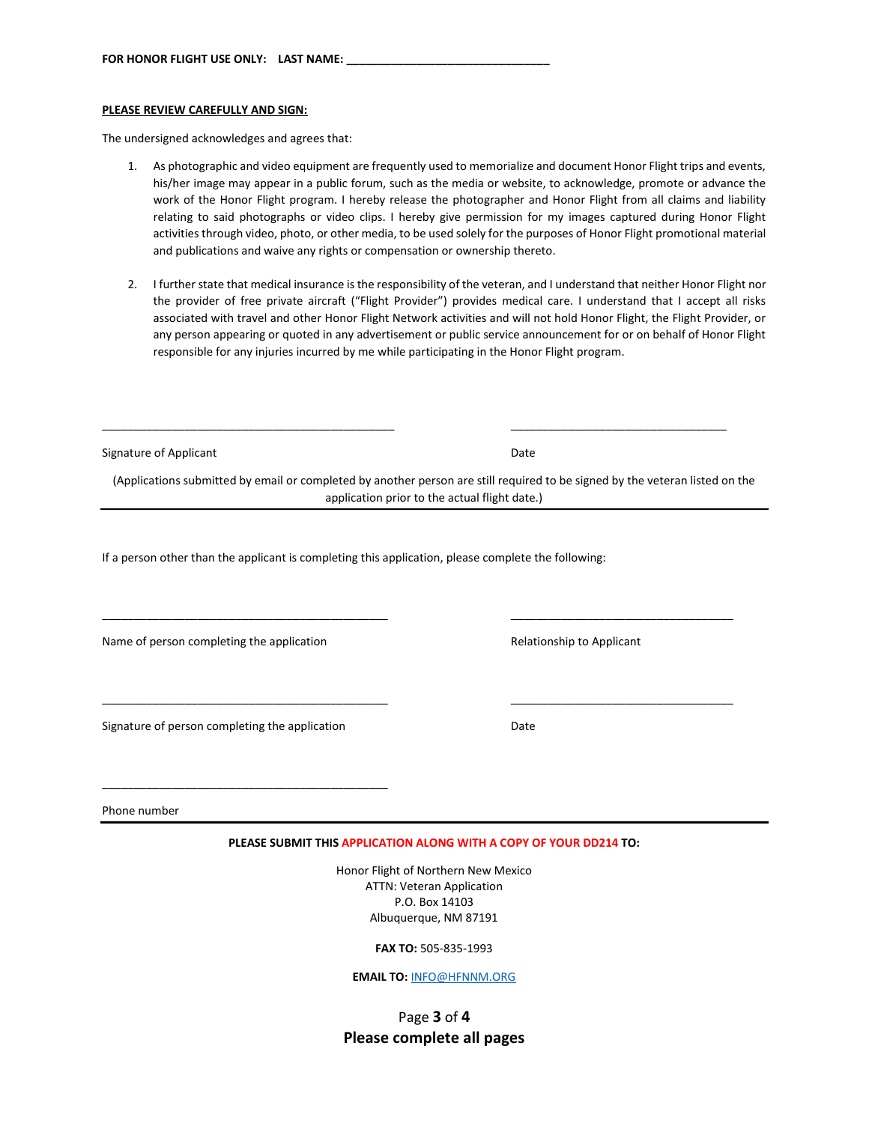#### **PLEASE REVIEW CAREFULLY AND SIGN:**

The undersigned acknowledges and agrees that:

- 1. As photographic and video equipment are frequently used to memorialize and document Honor Flight trips and events, his/her image may appear in a public forum, such as the media or website, to acknowledge, promote or advance the work of the Honor Flight program. I hereby release the photographer and Honor Flight from all claims and liability relating to said photographs or video clips. I hereby give permission for my images captured during Honor Flight activities through video, photo, or other media, to be used solely for the purposes of Honor Flight promotional material and publications and waive any rights or compensation or ownership thereto.
- 2. I further state that medical insurance is the responsibility of the veteran, and I understand that neither Honor Flight nor the provider of free private aircraft ("Flight Provider") provides medical care. I understand that I accept all risks associated with travel and other Honor Flight Network activities and will not hold Honor Flight, the Flight Provider, or any person appearing or quoted in any advertisement or public service announcement for or on behalf of Honor Flight responsible for any injuries incurred by me while participating in the Honor Flight program.

| Signature of Applicant                                                                              | Date                                                                                                                                                                          |  |  |  |
|-----------------------------------------------------------------------------------------------------|-------------------------------------------------------------------------------------------------------------------------------------------------------------------------------|--|--|--|
|                                                                                                     | (Applications submitted by email or completed by another person are still required to be signed by the veteran listed on the<br>application prior to the actual flight date.) |  |  |  |
| If a person other than the applicant is completing this application, please complete the following: |                                                                                                                                                                               |  |  |  |
| Name of person completing the application                                                           | Relationship to Applicant                                                                                                                                                     |  |  |  |
| Signature of person completing the application                                                      | Date                                                                                                                                                                          |  |  |  |
| Phone number                                                                                        |                                                                                                                                                                               |  |  |  |
|                                                                                                     | PLEASE SUBMIT THIS APPLICATION ALONG WITH A COPY OF YOUR DD214 TO:                                                                                                            |  |  |  |
|                                                                                                     | Honor Flight of Northern New Mexico<br><b>ATTN: Veteran Application</b><br>P.O. Box 14103<br>Albuquerque, NM 87191                                                            |  |  |  |

**FAX TO:** 505-835-1993

**EMAIL TO:** [INFO@HFNNM.ORG](mailto:INFO@HFNNM.ORG)

# Page **3** of **4 Please complete all pages**